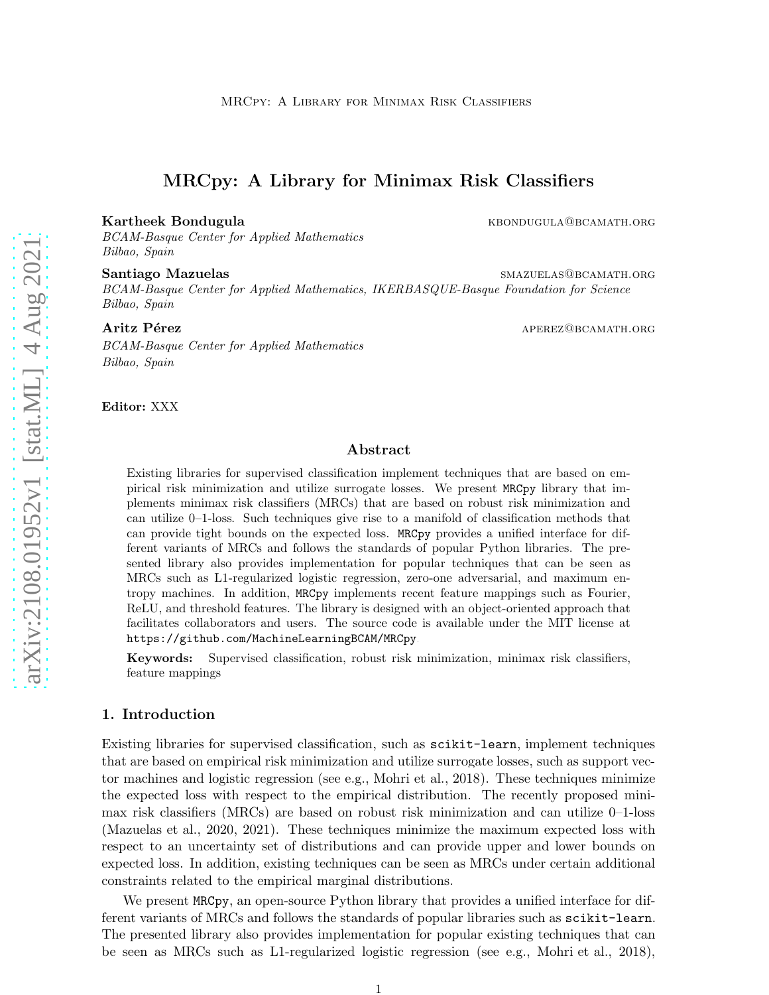# MRCpy: A Library for Minimax Risk Classifiers

#### Kartheek Bondugula kbondugula kbondugula kartheek Bondugula

BCAM-Basque Center for Applied Mathematics Bilbao, Spain

#### Santiago Mazuelas smaxuelas smazuelas smazuelas smazuelas smazuelas smazuelas smazuelas smazuelas smazuelas sm

BCAM-Basque Center for Applied Mathematics, IKERBASQUE-Basque Foundation for Science Bilbao, Spain

#### Aritz Pérez apertures apertures apertures apertures apertures apertures apertures apertures apertures aperture

BCAM-Basque Center for Applied Mathematics Bilbao, Spain

Editor: XXX

## Abstract

Existing libraries for supervised classification implement techniques that are based on empirical risk minimization and utilize surrogate losses. We present MRCpy library that implements minimax risk classifiers (MRCs) that are based on robust risk minimization and can utilize 0–1-loss. Such techniques give rise to a manifold of classification methods that can provide tight bounds on the expected loss. MRCpy provides a unified interface for different variants of MRCs and follows the standards of popular Python libraries. The presented library also provides implementation for popular techniques that can be seen as MRCs such as L1-regularized logistic regression, zero-one adversarial, and maximum entropy machines. In addition, MRCpy implements recent feature mappings such as Fourier, ReLU, and threshold features. The library is designed with an object-oriented approach that facilitates collaborators and users. The source code is available under the MIT license at <https://github.com/MachineLearningBCAM/MRCpy> .

Keywords: Supervised classification, robust risk minimization, minimax risk classifiers, feature mappings

# 1. Introduction

Existing libraries for supervised classification, such as scikit-learn, implement techniques that are based on empirical risk minimization and utilize surrogate losses, such as support vector machines and logistic regression (see e.g., [Mohri et al.](#page-4-0), [2018](#page-4-0)). These techniques minimize the expected loss with respect to the empirical distribution. The recently proposed minimax risk classifiers (MRCs) are based on robust risk minimization and can utilize 0–1-loss [\(Mazuelas et al.](#page-4-1), [2020](#page-4-1), [2021](#page-4-2)). These techniques minimize the maximum expected loss with respect to an uncertainty set of distributions and can provide upper and lower bounds on expected loss. In addition, existing techniques can be seen as MRCs under certain additional constraints related to the empirical marginal distributions.

We present MRCpy, an open-source Python library that provides a unified interface for different variants of MRCs and follows the standards of popular libraries such as scikit-learn. The presented library also provides implementation for popular existing techniques that can be seen as MRCs such as L1-regularized logistic regression (see e.g., [Mohri et al.](#page-4-0), [2018\)](#page-4-0),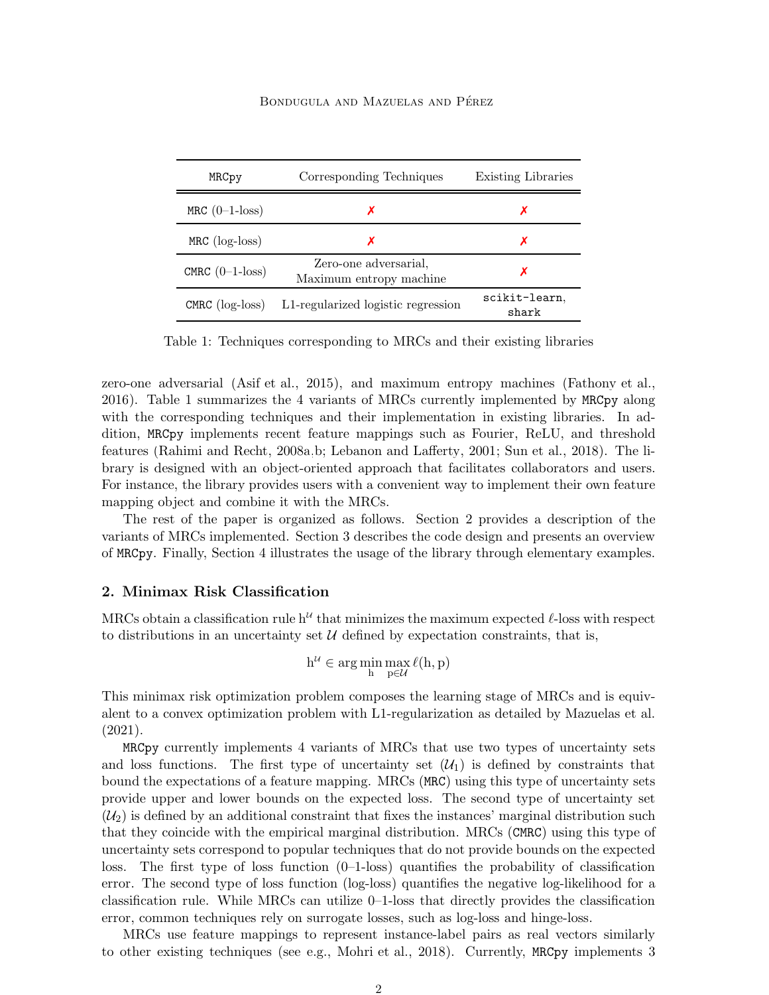#### BONDUGULA AND MAZUELAS AND PÉREZ

| MRCpy                | Corresponding Techniques                         | Existing Libraries     |
|----------------------|--------------------------------------------------|------------------------|
| MRC $(0-1$ -loss)    |                                                  | х                      |
| $MRC$ ( $log-loss$ ) | х                                                | Х                      |
| CMRC $(0-1$ -loss)   | Zero-one adversarial.<br>Maximum entropy machine |                        |
| CMRC $(log-loss)$    | L1-regularized logistic regression               | scikit-learn.<br>shark |

Table 1: Techniques corresponding to MRCs and their existing libraries

zero-one adversarial [\(Asif et al., 2015\)](#page-4-3), and maximum entropy machines [\(Fathony et al.](#page-4-4), [2016\)](#page-4-4). Table 1 summarizes the 4 variants of MRCs currently implemented by MRCpy along with the corresponding techniques and their implementation in existing libraries. In addition, MRCpy implements recent feature mappings such as Fourier, ReLU, and threshold features [\(Rahimi and Recht](#page-4-5), [2008a](#page-4-5)[,b;](#page-4-6) [Lebanon and Lafferty](#page-4-7), [2001](#page-4-7); [Sun et al.](#page-4-8), [2018\)](#page-4-8). The library is designed with an object-oriented approach that facilitates collaborators and users. For instance, the library provides users with a convenient way to implement their own feature mapping object and combine it with the MRCs.

The rest of the paper is organized as follows. Section 2 provides a description of the variants of MRCs implemented. Section 3 describes the code design and presents an overview of MRCpy. Finally, Section 4 illustrates the usage of the library through elementary examples.

### 2. Minimax Risk Classification

MRCs obtain a classification rule  $h^u$  that minimizes the maximum expected  $\ell$ -loss with respect to distributions in an uncertainty set  $U$  defined by expectation constraints, that is,

$$
h^{\mathcal{U}}\in \arg\min_{h}\max_{p\in\mathcal{U}}\ell(h,p)
$$

This minimax risk optimization problem composes the learning stage of MRCs and is equivalent to a convex optimization problem with L1-regularization as detailed by [Mazuelas et al.](#page-4-2) [\(2021](#page-4-2)).

MRCpy currently implements 4 variants of MRCs that use two types of uncertainty sets and loss functions. The first type of uncertainty set  $(\mathcal{U}_1)$  is defined by constraints that bound the expectations of a feature mapping. MRCs (MRC) using this type of uncertainty sets provide upper and lower bounds on the expected loss. The second type of uncertainty set  $(\mathcal{U}_2)$  is defined by an additional constraint that fixes the instances' marginal distribution such that they coincide with the empirical marginal distribution. MRCs (CMRC) using this type of uncertainty sets correspond to popular techniques that do not provide bounds on the expected loss. The first type of loss function  $(0-1-\text{loss})$  quantifies the probability of classification error. The second type of loss function (log-loss) quantifies the negative log-likelihood for a classification rule. While MRCs can utilize 0–1-loss that directly provides the classification error, common techniques rely on surrogate losses, such as log-loss and hinge-loss.

MRCs use feature mappings to represent instance-label pairs as real vectors similarly to other existing techniques (see e.g., [Mohri et al.](#page-4-0), [2018\)](#page-4-0). Currently, MRCpy implements 3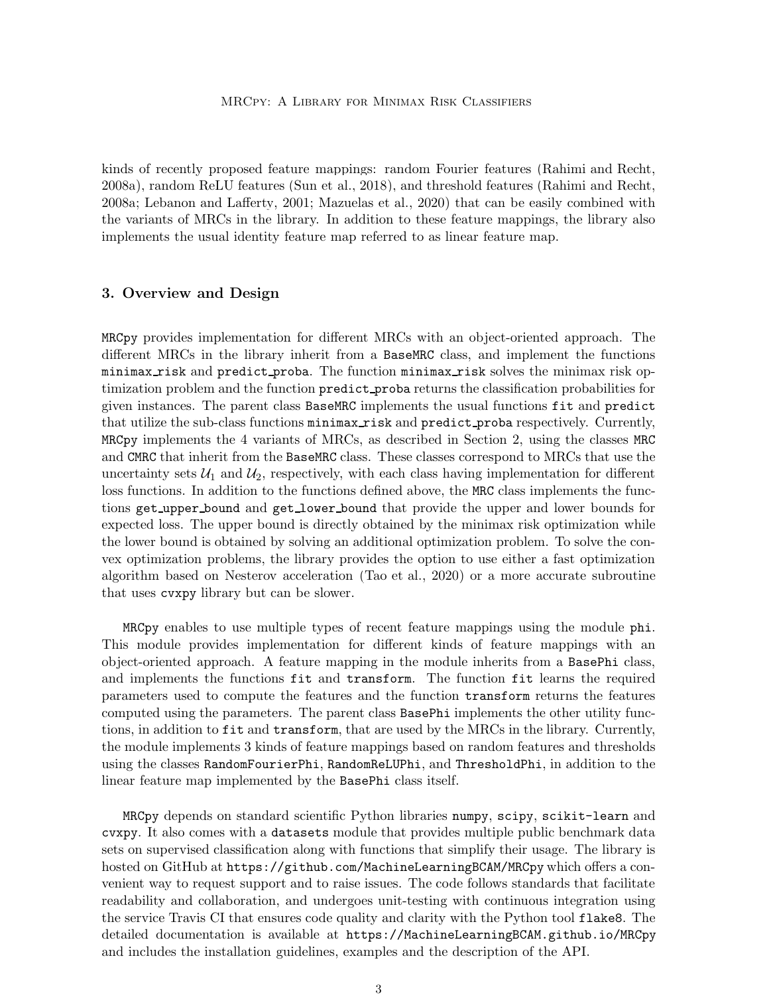kinds of recently proposed feature mappings: random Fourier features [\(Rahimi and Recht,](#page-4-5) [2008a](#page-4-5)), random ReLU features [\(Sun et al.](#page-4-8), [2018](#page-4-8)), and threshold features [\(Rahimi and Recht](#page-4-5), [2008a](#page-4-5); [Lebanon and Lafferty](#page-4-7), [2001;](#page-4-7) [Mazuelas et al., 2020](#page-4-1)) that can be easily combined with the variants of MRCs in the library. In addition to these feature mappings, the library also implements the usual identity feature map referred to as linear feature map.

# 3. Overview and Design

MRCpy provides implementation for different MRCs with an object-oriented approach. The different MRCs in the library inherit from a BaseMRC class, and implement the functions minimax risk and predict proba. The function minimax risk solves the minimax risk optimization problem and the function predict proba returns the classification probabilities for given instances. The parent class BaseMRC implements the usual functions fit and predict that utilize the sub-class functions minimax risk and predict proba respectively. Currently, MRCpy implements the 4 variants of MRCs, as described in Section 2, using the classes MRC and CMRC that inherit from the BaseMRC class. These classes correspond to MRCs that use the uncertainty sets  $\mathcal{U}_1$  and  $\mathcal{U}_2$ , respectively, with each class having implementation for different loss functions. In addition to the functions defined above, the MRC class implements the functions get upper bound and get lower bound that provide the upper and lower bounds for expected loss. The upper bound is directly obtained by the minimax risk optimization while the lower bound is obtained by solving an additional optimization problem. To solve the convex optimization problems, the library provides the option to use either a fast optimization algorithm based on Nesterov acceleration [\(Tao et al.](#page-4-9), [2020](#page-4-9)) or a more accurate subroutine that uses cvxpy library but can be slower.

MRCpy enables to use multiple types of recent feature mappings using the module phi. This module provides implementation for different kinds of feature mappings with an object-oriented approach. A feature mapping in the module inherits from a BasePhi class, and implements the functions fit and transform. The function fit learns the required parameters used to compute the features and the function transform returns the features computed using the parameters. The parent class BasePhi implements the other utility functions, in addition to fit and transform, that are used by the MRCs in the library. Currently, the module implements 3 kinds of feature mappings based on random features and thresholds using the classes RandomFourierPhi, RandomReLUPhi, and ThresholdPhi, in addition to the linear feature map implemented by the BasePhi class itself.

MRCpy depends on standard scientific Python libraries numpy, scipy, scikit-learn and cvxpy. It also comes with a datasets module that provides multiple public benchmark data sets on supervised classification along with functions that simplify their usage. The library is hosted on GitHub at <https://github.com/MachineLearningBCAM/MRCpy> which offers a convenient way to request support and to raise issues. The code follows standards that facilitate readability and collaboration, and undergoes unit-testing with continuous integration using the service Travis CI that ensures code quality and clarity with the Python tool flake8. The detailed documentation is available at <https://MachineLearningBCAM.github.io/MRCpy> and includes the installation guidelines, examples and the description of the API.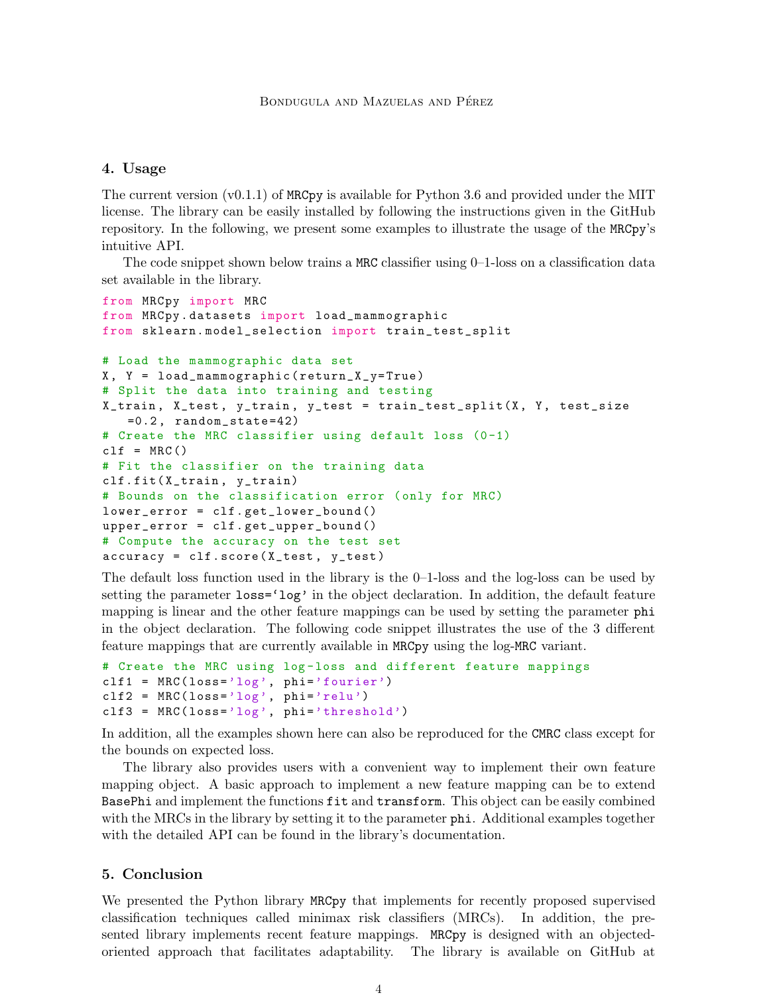## 4. Usage

The current version  $(v0.1.1)$  of MRCpy is available for Python 3.6 and provided under the MIT license. The library can be easily installed by following the instructions given in the GitHub repository. In the following, we present some examples to illustrate the usage of the MRCpy's intuitive API.

The code snippet shown below trains a MRC classifier using 0–1-loss on a classification data set available in the library.

```
from MRCpy import MRC
from MRCpy . datasets import load_mammographic
from sklearn. model_selection import train_test_split
# Load the mammographic data set
X, Y = load_mammographic (return_X_y=True)
# Split the data into training and testing
X_train , X_test , y_train , y_test = train_test_split (X , Y , test_size
   =0.2, random_state=42)
# Create the MRC classifier using default loss (0-1)
clf = MRC()# Fit the classifier on the training data
clf. fit( X_train , y_train)
# Bounds on the classification error ( only for MRC)
lower_error = clf . get_lower_bound ()
upper_error = clf . get_upper_bound ()
# Compute the accuracy on the test set
accuracy = c1f.score(X_test, y_test)
```
The default loss function used in the library is the 0–1-loss and the log-loss can be used by setting the parameter  $loss='log'$  in the object declaration. In addition, the default feature mapping is linear and the other feature mappings can be used by setting the parameter phi in the object declaration. The following code snippet illustrates the use of the 3 different feature mappings that are currently available in MRCpy using the log-MRC variant.

```
# Create the MRC using log-loss and different feature mappings
clf1 = MRC(\text{loss} = 'log', phi = 'fourier')clf2 = MRC(loss='log', phi='relu')clf3 = MRC(loss='log', phi='threshold')
```
In addition, all the examples shown here can also be reproduced for the CMRC class except for the bounds on expected loss.

The library also provides users with a convenient way to implement their own feature mapping object. A basic approach to implement a new feature mapping can be to extend BasePhi and implement the functions fit and transform. This object can be easily combined with the MRCs in the library by setting it to the parameter **phi.** Additional examples together with the detailed API can be found in the library's documentation.

## 5. Conclusion

We presented the Python library MRCpy that implements for recently proposed supervised classification techniques called minimax risk classifiers (MRCs). In addition, the presented library implements recent feature mappings. MRCpy is designed with an objectedoriented approach that facilitates adaptability. The library is available on GitHub at